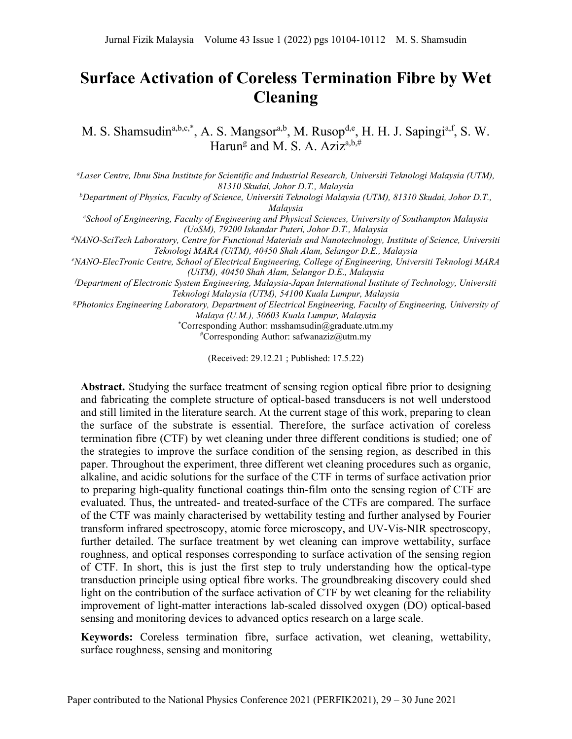# **Surface Activation of Coreless Termination Fibre by Wet Cleaning**

M. S. Shamsudin<sup>a,b,c,\*</sup>, A. S. Mangsor<sup>a,b</sup>, M. Rusop<sup>d,e</sup>, H. H. J. Sapingi<sup>a,f</sup>, S. W. Harun<sup>g</sup> and M. S. A. Aziz<sup>a,b,#</sup>

*a Laser Centre, Ibnu Sina Institute for Scientific and Industrial Research, Universiti Teknologi Malaysia (UTM), 81310 Skudai, Johor D.T., Malaysia*

*b Department of Physics, Faculty of Science, Universiti Teknologi Malaysia (UTM), 81310 Skudai, Johor D.T., Malaysia*

*c School of Engineering, Faculty of Engineering and Physical Sciences, University of Southampton Malaysia (UoSM), 79200 Iskandar Puteri, Johor D.T., Malaysia*

*d NANO-SciTech Laboratory, Centre for Functional Materials and Nanotechnology, Institute of Science, Universiti Teknologi MARA (UiTM), 40450 Shah Alam, Selangor D.E., Malaysia*

*e NANO-ElecTronic Centre, School of Electrical Engineering, College of Engineering, Universiti Teknologi MARA (UiTM), 40450 Shah Alam, Selangor D.E., Malaysia*

*f Department of Electronic System Engineering, Malaysia-Japan International Institute of Technology, Universiti Teknologi Malaysia (UTM), 54100 Kuala Lumpur, Malaysia*

*g Photonics Engineering Laboratory, Department of Electrical Engineering, Faculty of Engineering, University of Malaya (U.M.), 50603 Kuala Lumpur, Malaysia*

> \* Corresponding Author: msshamsudin@graduate.utm.my # Corresponding Author: safwanaziz@utm.my

> > (Received: 29.12.21 ; Published: 17.5.22)

**Abstract.** Studying the surface treatment of sensing region optical fibre prior to designing and fabricating the complete structure of optical-based transducers is not well understood and still limited in the literature search. At the current stage of this work, preparing to clean the surface of the substrate is essential. Therefore, the surface activation of coreless termination fibre (CTF) by wet cleaning under three different conditions is studied; one of the strategies to improve the surface condition of the sensing region, as described in this paper. Throughout the experiment, three different wet cleaning procedures such as organic, alkaline, and acidic solutions for the surface of the CTF in terms of surface activation prior to preparing high-quality functional coatings thin-film onto the sensing region of CTF are evaluated. Thus, the untreated- and treated-surface of the CTFs are compared. The surface of the CTF was mainly characterised by wettability testing and further analysed by Fourier transform infrared spectroscopy, atomic force microscopy, and UV-Vis-NIR spectroscopy, further detailed. The surface treatment by wet cleaning can improve wettability, surface roughness, and optical responses corresponding to surface activation of the sensing region of CTF. In short, this is just the first step to truly understanding how the optical-type transduction principle using optical fibre works. The groundbreaking discovery could shed light on the contribution of the surface activation of CTF by wet cleaning for the reliability improvement of light-matter interactions lab-scaled dissolved oxygen (DO) optical-based sensing and monitoring devices to advanced optics research on a large scale.

**Keywords:** Coreless termination fibre, surface activation, wet cleaning, wettability, surface roughness, sensing and monitoring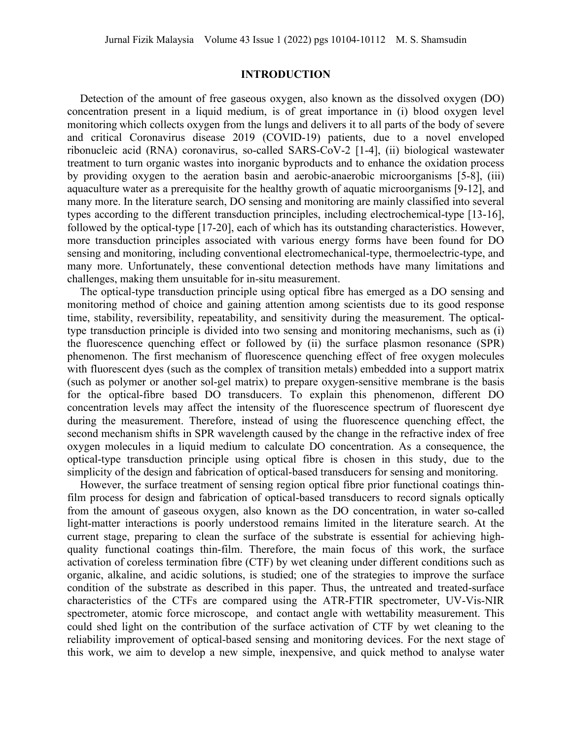## **INTRODUCTION**

Detection of the amount of free gaseous oxygen, also known as the dissolved oxygen (DO) concentration present in a liquid medium, is of great importance in (i) blood oxygen level monitoring which collects oxygen from the lungs and delivers it to all parts of the body of severe and critical Coronavirus disease 2019 (COVID-19) patients, due to a novel enveloped ribonucleic acid (RNA) coronavirus, so-called SARS-CoV-2 [1-4], (ii) biological wastewater treatment to turn organic wastes into inorganic byproducts and to enhance the oxidation process by providing oxygen to the aeration basin and aerobic-anaerobic microorganisms [5-8], (iii) aquaculture water as a prerequisite for the healthy growth of aquatic microorganisms [9-12], and many more. In the literature search, DO sensing and monitoring are mainly classified into several types according to the different transduction principles, including electrochemical-type [13-16], followed by the optical-type [17-20], each of which has its outstanding characteristics. However, more transduction principles associated with various energy forms have been found for DO sensing and monitoring, including conventional electromechanical-type, thermoelectric-type, and many more. Unfortunately, these conventional detection methods have many limitations and challenges, making them unsuitable for in-situ measurement.

The optical-type transduction principle using optical fibre has emerged as a DO sensing and monitoring method of choice and gaining attention among scientists due to its good response time, stability, reversibility, repeatability, and sensitivity during the measurement. The opticaltype transduction principle is divided into two sensing and monitoring mechanisms, such as (i) the fluorescence quenching effect or followed by (ii) the surface plasmon resonance (SPR) phenomenon. The first mechanism of fluorescence quenching effect of free oxygen molecules with fluorescent dyes (such as the complex of transition metals) embedded into a support matrix (such as polymer or another sol-gel matrix) to prepare oxygen-sensitive membrane is the basis for the optical-fibre based DO transducers. To explain this phenomenon, different DO concentration levels may affect the intensity of the fluorescence spectrum of fluorescent dye during the measurement. Therefore, instead of using the fluorescence quenching effect, the second mechanism shifts in SPR wavelength caused by the change in the refractive index of free oxygen molecules in a liquid medium to calculate DO concentration. As a consequence, the optical-type transduction principle using optical fibre is chosen in this study, due to the simplicity of the design and fabrication of optical-based transducers for sensing and monitoring.

However, the surface treatment of sensing region optical fibre prior functional coatings thinfilm process for design and fabrication of optical-based transducers to record signals optically from the amount of gaseous oxygen, also known as the DO concentration, in water so-called light-matter interactions is poorly understood remains limited in the literature search. At the current stage, preparing to clean the surface of the substrate is essential for achieving highquality functional coatings thin-film. Therefore, the main focus of this work, the surface activation of coreless termination fibre (CTF) by wet cleaning under different conditions such as organic, alkaline, and acidic solutions, is studied; one of the strategies to improve the surface condition of the substrate as described in this paper. Thus, the untreated and treated-surface characteristics of the CTFs are compared using the ATR-FTIR spectrometer, UV-Vis-NIR spectrometer, atomic force microscope, and contact angle with wettability measurement. This could shed light on the contribution of the surface activation of CTF by wet cleaning to the reliability improvement of optical-based sensing and monitoring devices. For the next stage of this work, we aim to develop a new simple, inexpensive, and quick method to analyse water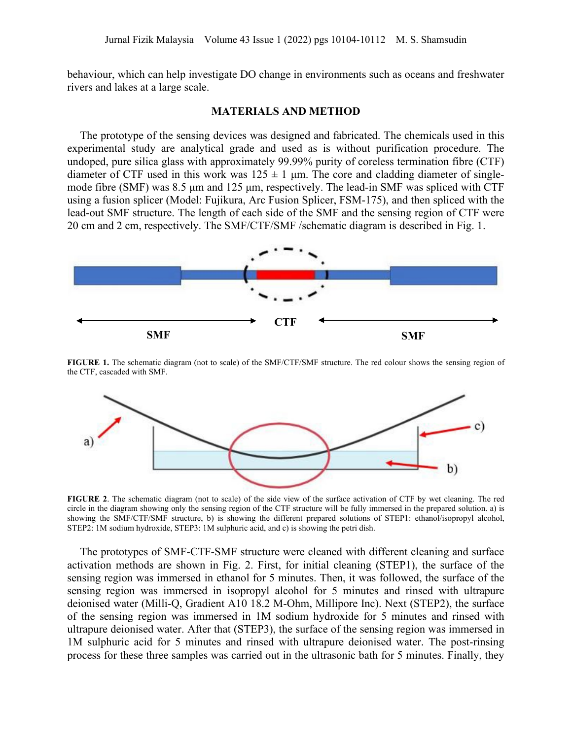behaviour, which can help investigate DO change in environments such as oceans and freshwater rivers and lakes at a large scale.

#### **MATERIALS AND METHOD**

The prototype of the sensing devices was designed and fabricated. The chemicals used in this experimental study are analytical grade and used as is without purification procedure. The undoped, pure silica glass with approximately 99.99% purity of coreless termination fibre (CTF) diameter of CTF used in this work was  $125 \pm 1$  μm. The core and cladding diameter of singlemode fibre (SMF) was 8.5 μm and 125 μm, respectively. The lead-in SMF was spliced with CTF using a fusion splicer (Model: Fujikura, Arc Fusion Splicer, FSM-175), and then spliced with the lead-out SMF structure. The length of each side of the SMF and the sensing region of CTF were 20 cm and 2 cm, respectively. The SMF/CTF/SMF /schematic diagram is described in Fig. 1.



**FIGURE 1.** The schematic diagram (not to scale) of the SMF/CTF/SMF structure. The red colour shows the sensing region of the CTF, cascaded with SMF.



**FIGURE 2**. The schematic diagram (not to scale) of the side view of the surface activation of CTF by wet cleaning. The red circle in the diagram showing only the sensing region of the CTF structure will be fully immersed in the prepared solution. a) is showing the SMF/CTF/SMF structure, b) is showing the different prepared solutions of STEP1: ethanol/isopropyl alcohol, STEP2: 1M sodium hydroxide, STEP3: 1M sulphuric acid, and c) is showing the petri dish.

The prototypes of SMF-CTF-SMF structure were cleaned with different cleaning and surface activation methods are shown in Fig. 2. First, for initial cleaning (STEP1), the surface of the sensing region was immersed in ethanol for 5 minutes. Then, it was followed, the surface of the sensing region was immersed in isopropyl alcohol for 5 minutes and rinsed with ultrapure deionised water (Milli-Q, Gradient A10 18.2 M-Ohm, Millipore Inc). Next (STEP2), the surface of the sensing region was immersed in 1M sodium hydroxide for 5 minutes and rinsed with ultrapure deionised water. After that (STEP3), the surface of the sensing region was immersed in 1M sulphuric acid for 5 minutes and rinsed with ultrapure deionised water. The post-rinsing process for these three samples was carried out in the ultrasonic bath for 5 minutes. Finally, they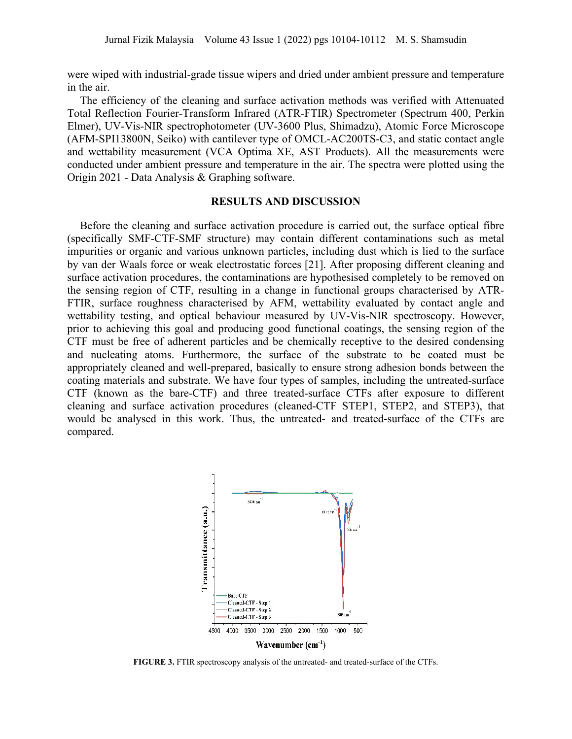were wiped with industrial-grade tissue wipers and dried under ambient pressure and temperature in the air.

The efficiency of the cleaning and surface activation methods was verified with Attenuated Total Reflection Fourier-Transform Infrared (ATR-FTIR) Spectrometer (Spectrum 400, Perkin Elmer), UV-Vis-NIR spectrophotometer (UV-3600 Plus, Shimadzu), Atomic Force Microscope (AFM-SPI13800N, Seiko) with cantilever type of OMCL-AC200TS-C3, and static contact angle and wettability measurement (VCA Optima XE, AST Products). All the measurements were conducted under ambient pressure and temperature in the air. The spectra were plotted using the Origin 2021 - Data Analysis & Graphing software.

# **RESULTS AND DISCUSSION**

Before the cleaning and surface activation procedure is carried out, the surface optical fibre (specifically SMF-CTF-SMF structure) may contain different contaminations such as metal impurities or organic and various unknown particles, including dust which is lied to the surface by van der Waals force or weak electrostatic forces [21]. After proposing different cleaning and surface activation procedures, the contaminations are hypothesised completely to be removed on the sensing region of CTF, resulting in a change in functional groups characterised by ATR-FTIR, surface roughness characterised by AFM, wettability evaluated by contact angle and wettability testing, and optical behaviour measured by UV-Vis-NIR spectroscopy. However, prior to achieving this goal and producing good functional coatings, the sensing region of the CTF must be free of adherent particles and be chemically receptive to the desired condensing and nucleating atoms. Furthermore, the surface of the substrate to be coated must be appropriately cleaned and well-prepared, basically to ensure strong adhesion bonds between the coating materials and substrate. We have four types of samples, including the untreated-surface CTF (known as the bare-CTF) and three treated-surface CTFs after exposure to different cleaning and surface activation procedures (cleaned-CTF STEP1, STEP2, and STEP3), that would be analysed in this work. Thus, the untreated- and treated-surface of the CTFs are compared.



**FIGURE 3.** FTIR spectroscopy analysis of the untreated- and treated-surface of the CTFs.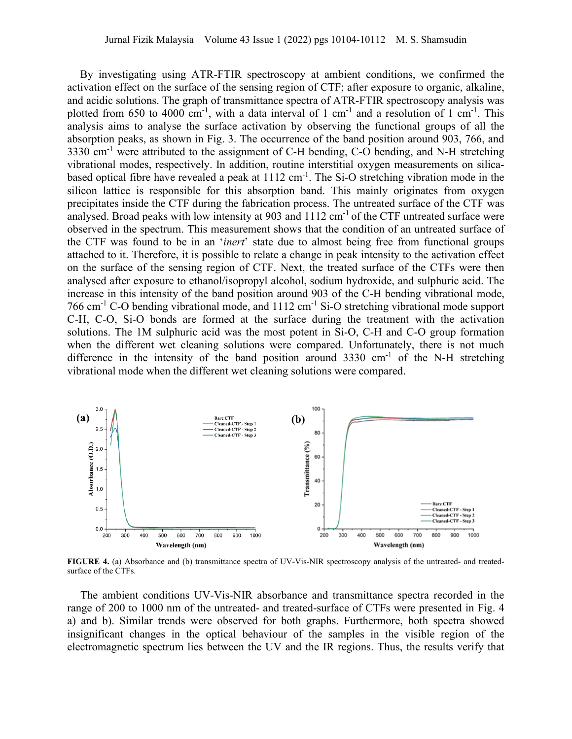By investigating using ATR-FTIR spectroscopy at ambient conditions, we confirmed the activation effect on the surface of the sensing region of CTF; after exposure to organic, alkaline, and acidic solutions. The graph of transmittance spectra of ATR-FTIR spectroscopy analysis was plotted from 650 to 4000 cm<sup>-1</sup>, with a data interval of 1 cm<sup>-1</sup> and a resolution of 1 cm<sup>-1</sup>. This analysis aims to analyse the surface activation by observing the functional groups of all the absorption peaks, as shown in Fig. 3. The occurrence of the band position around 903, 766, and  $3330 \text{ cm}^{-1}$  were attributed to the assignment of C-H bending, C-O bending, and N-H stretching vibrational modes, respectively. In addition, routine interstitial oxygen measurements on silicabased optical fibre have revealed a peak at 1112 cm<sup>-1</sup>. The Si-O stretching vibration mode in the silicon lattice is responsible for this absorption band. This mainly originates from oxygen precipitates inside the CTF during the fabrication process. The untreated surface of the CTF was analysed. Broad peaks with low intensity at  $903$  and  $1112 \text{ cm}^{-1}$  of the CTF untreated surface were observed in the spectrum. This measurement shows that the condition of an untreated surface of the CTF was found to be in an '*inert*' state due to almost being free from functional groups attached to it. Therefore, it is possible to relate a change in peak intensity to the activation effect on the surface of the sensing region of CTF. Next, the treated surface of the CTFs were then analysed after exposure to ethanol/isopropyl alcohol, sodium hydroxide, and sulphuric acid. The increase in this intensity of the band position around 903 of the C-H bending vibrational mode, 766 cm-1 C-O bending vibrational mode, and 1112 cm-1 Si-O stretching vibrational mode support C-H, C-O, Si-O bonds are formed at the surface during the treatment with the activation solutions. The 1M sulphuric acid was the most potent in Si-O, C-H and C-O group formation when the different wet cleaning solutions were compared. Unfortunately, there is not much difference in the intensity of the band position around  $3330 \text{ cm}^{-1}$  of the N-H stretching vibrational mode when the different wet cleaning solutions were compared.



**FIGURE 4.** (a) Absorbance and (b) transmittance spectra of UV-Vis-NIR spectroscopy analysis of the untreated- and treatedsurface of the CTFs.

The ambient conditions UV-Vis-NIR absorbance and transmittance spectra recorded in the range of 200 to 1000 nm of the untreated- and treated-surface of CTFs were presented in Fig. 4 a) and b). Similar trends were observed for both graphs. Furthermore, both spectra showed insignificant changes in the optical behaviour of the samples in the visible region of the electromagnetic spectrum lies between the UV and the IR regions. Thus, the results verify that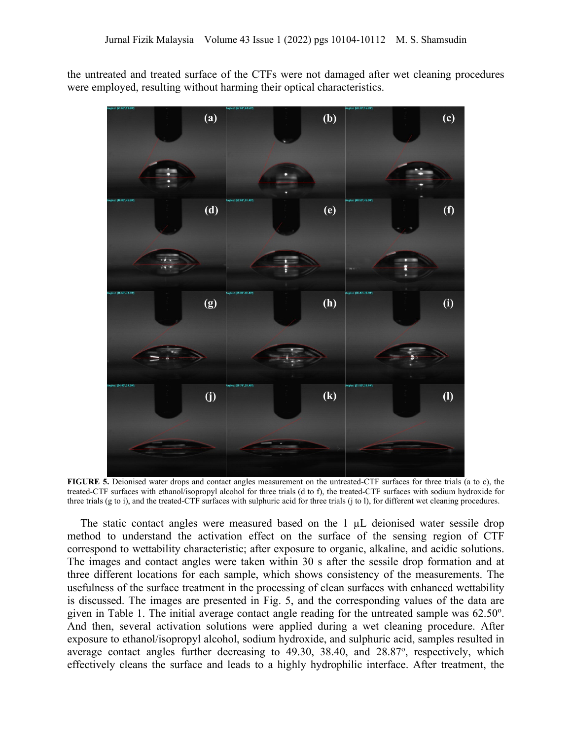the untreated and treated surface of the CTFs were not damaged after wet cleaning procedures were employed, resulting without harming their optical characteristics.



**FIGURE 5.** Deionised water drops and contact angles measurement on the untreated-CTF surfaces for three trials (a to c), the treated-CTF surfaces with ethanol/isopropyl alcohol for three trials (d to f), the treated-CTF surfaces with sodium hydroxide for three trials (g to i), and the treated-CTF surfaces with sulphuric acid for three trials (j to l), for different wet cleaning procedures.

The static contact angles were measured based on the 1  $\mu$ L deionised water sessile drop method to understand the activation effect on the surface of the sensing region of CTF correspond to wettability characteristic; after exposure to organic, alkaline, and acidic solutions. The images and contact angles were taken within 30 s after the sessile drop formation and at three different locations for each sample, which shows consistency of the measurements. The usefulness of the surface treatment in the processing of clean surfaces with enhanced wettability is discussed. The images are presented in Fig. 5, and the corresponding values of the data are given in Table 1. The initial average contact angle reading for the untreated sample was  $62.50^{\circ}$ . And then, several activation solutions were applied during a wet cleaning procedure. After exposure to ethanol/isopropyl alcohol, sodium hydroxide, and sulphuric acid, samples resulted in average contact angles further decreasing to 49.30, 38.40, and 28.87°, respectively, which effectively cleans the surface and leads to a highly hydrophilic interface. After treatment, the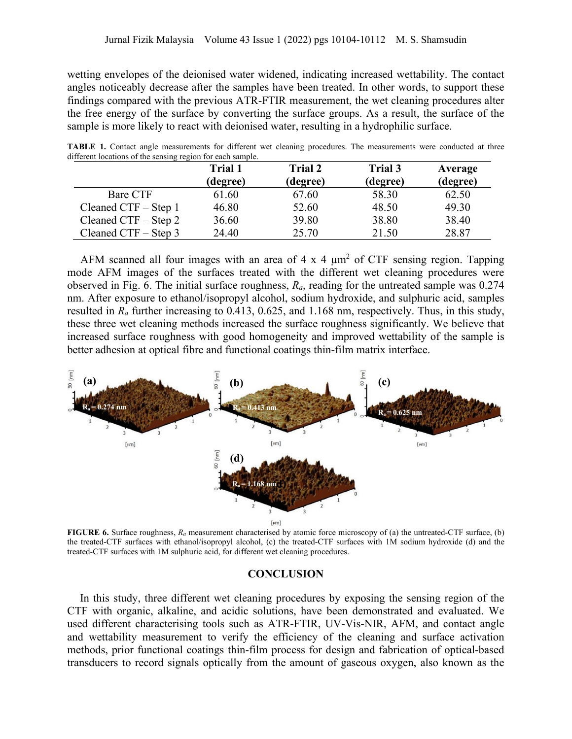wetting envelopes of the deionised water widened, indicating increased wettability. The contact angles noticeably decrease after the samples have been treated. In other words, to support these findings compared with the previous ATR-FTIR measurement, the wet cleaning procedures alter the free energy of the surface by converting the surface groups. As a result, the surface of the sample is more likely to react with deionised water, resulting in a hydrophilic surface.

|                        | Trial 1<br>(degree) | <b>Trial 2</b><br>(degree) | Trial 3<br>(degree) | Average<br>(degree) |
|------------------------|---------------------|----------------------------|---------------------|---------------------|
| Bare CTF               | 61.60               | 67.60                      | 58.30               | 62.50               |
| Cleaned $CTF - Step 1$ | 46.80               | 52.60                      | 48.50               | 49.30               |
| Cleaned CTF $-$ Step 2 | 36.60               | 39.80                      | 38.80               | 38.40               |
| Cleaned CTF $-$ Step 3 | 24.40               | 25.70                      | 21.50               | 28.87               |

**TABLE 1.** Contact angle measurements for different wet cleaning procedures. The measurements were conducted at three different locations of the sensing region for each sample.

AFM scanned all four images with an area of  $4 \times 4 \mu m^2$  of CTF sensing region. Tapping mode AFM images of the surfaces treated with the different wet cleaning procedures were observed in Fig. 6. The initial surface roughness, *Ra*, reading for the untreated sample was 0.274 nm. After exposure to ethanol/isopropyl alcohol, sodium hydroxide, and sulphuric acid, samples resulted in *Ra* further increasing to 0.413, 0.625, and 1.168 nm, respectively. Thus, in this study, these three wet cleaning methods increased the surface roughness significantly. We believe that increased surface roughness with good homogeneity and improved wettability of the sample is better adhesion at optical fibre and functional coatings thin-film matrix interface.



**FIGURE 6.** Surface roughness, *Ra* measurement characterised by atomic force microscopy of (a) the untreated-CTF surface, (b) the treated-CTF surfaces with ethanol/isopropyl alcohol, (c) the treated-CTF surfaces with 1M sodium hydroxide (d) and the treated-CTF surfaces with 1M sulphuric acid, for different wet cleaning procedures.

# **CONCLUSION**

In this study, three different wet cleaning procedures by exposing the sensing region of the CTF with organic, alkaline, and acidic solutions, have been demonstrated and evaluated. We used different characterising tools such as ATR-FTIR, UV-Vis-NIR, AFM, and contact angle and wettability measurement to verify the efficiency of the cleaning and surface activation methods, prior functional coatings thin-film process for design and fabrication of optical-based transducers to record signals optically from the amount of gaseous oxygen, also known as the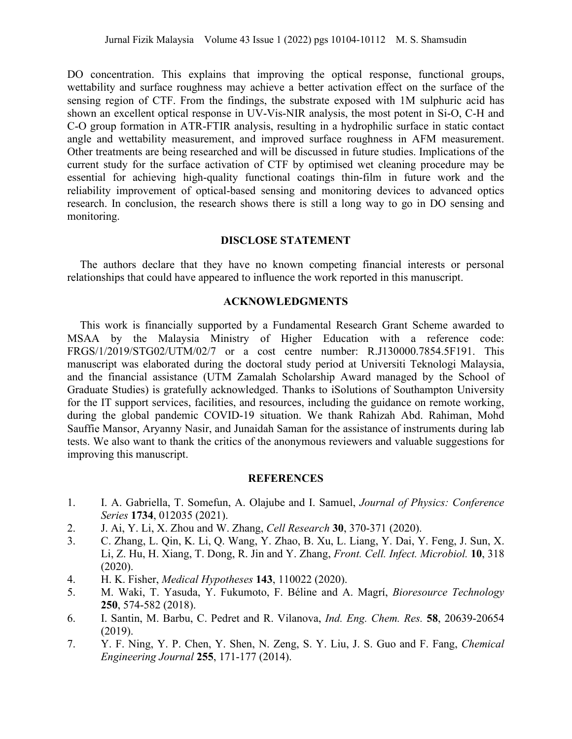DO concentration. This explains that improving the optical response, functional groups, wettability and surface roughness may achieve a better activation effect on the surface of the sensing region of CTF. From the findings, the substrate exposed with 1M sulphuric acid has shown an excellent optical response in UV-Vis-NIR analysis, the most potent in Si-O, C-H and C-O group formation in ATR-FTIR analysis, resulting in a hydrophilic surface in static contact angle and wettability measurement, and improved surface roughness in AFM measurement. Other treatments are being researched and will be discussed in future studies. Implications of the current study for the surface activation of CTF by optimised wet cleaning procedure may be essential for achieving high-quality functional coatings thin-film in future work and the reliability improvement of optical-based sensing and monitoring devices to advanced optics research. In conclusion, the research shows there is still a long way to go in DO sensing and monitoring.

### **DISCLOSE STATEMENT**

The authors declare that they have no known competing financial interests or personal relationships that could have appeared to influence the work reported in this manuscript.

### **ACKNOWLEDGMENTS**

This work is financially supported by a Fundamental Research Grant Scheme awarded to MSAA by the Malaysia Ministry of Higher Education with a reference code: FRGS/1/2019/STG02/UTM/02/7 or a cost centre number: R.J130000.7854.5F191. This manuscript was elaborated during the doctoral study period at Universiti Teknologi Malaysia, and the financial assistance (UTM Zamalah Scholarship Award managed by the School of Graduate Studies) is gratefully acknowledged. Thanks to iSolutions of Southampton University for the IT support services, facilities, and resources, including the guidance on remote working, during the global pandemic COVID-19 situation. We thank Rahizah Abd. Rahiman, Mohd Sauffie Mansor, Aryanny Nasir, and Junaidah Saman for the assistance of instruments during lab tests. We also want to thank the critics of the anonymous reviewers and valuable suggestions for improving this manuscript.

#### **REFERENCES**

- 1. I. A. Gabriella, T. Somefun, A. Olajube and I. Samuel, *Journal of Physics: Conference Series* **1734**, 012035 (2021).
- 2. J. Ai, Y. Li, X. Zhou and W. Zhang, *Cell Research* **30**, 370-371 (2020).
- 3. C. Zhang, L. Qin, K. Li, Q. Wang, Y. Zhao, B. Xu, L. Liang, Y. Dai, Y. Feng, J. Sun, X. Li, Z. Hu, H. Xiang, T. Dong, R. Jin and Y. Zhang, *Front. Cell. Infect. Microbiol.* **10**, 318 (2020).
- 4. H. K. Fisher, *Medical Hypotheses* **143**, 110022 (2020).
- 5. M. Waki, T. Yasuda, Y. Fukumoto, F. Béline and A. Magrí, *Bioresource Technology* **250**, 574-582 (2018).
- 6. I. Santin, M. Barbu, C. Pedret and R. Vilanova, *Ind. Eng. Chem. Res.* **58**, 20639-20654 (2019).
- 7. Y. F. Ning, Y. P. Chen, Y. Shen, N. Zeng, S. Y. Liu, J. S. Guo and F. Fang, *Chemical Engineering Journal* **255**, 171-177 (2014).